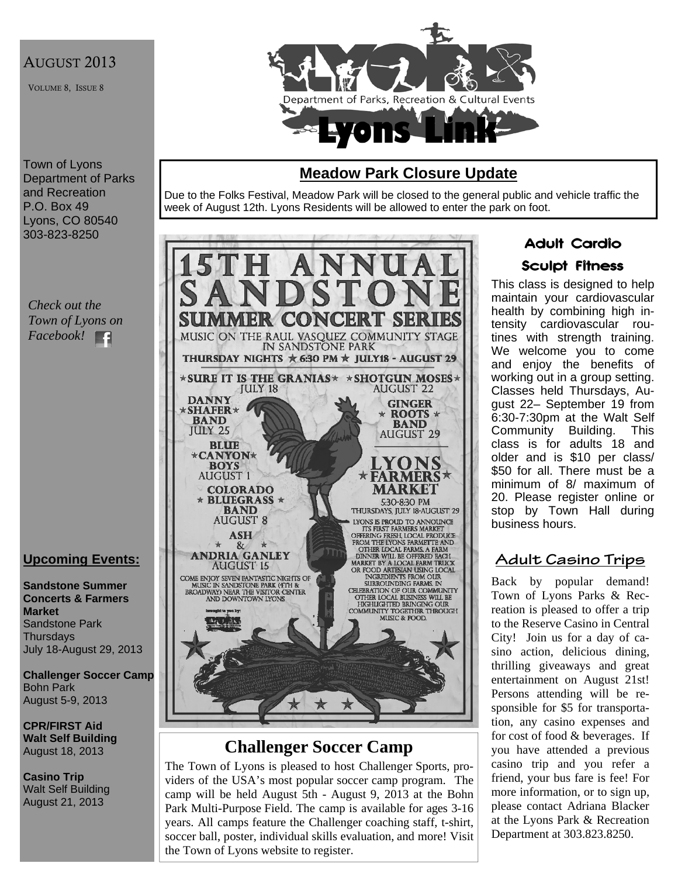# AUGUST 2013

VOLUME 8, ISSUE 8



#### Town of Lyons Department of Parks and Recreation P.O. Box 49 Lyons, CO 80540 303-823-8250

*Check out the Town of Lyons on Facebook!*  Е£

# **Upcoming Events:**

**Sandstone Summer Concerts & Farmers Market**  Sandstone Park **Thursdays** July 18-August 29, 2013

**Challenger Soccer Camp**  Bohn Park August 5-9, 2013

**CPR/FIRST Aid Walt Self Building** August 18, 2013

**Casino Trip**  Walt Self Building August 21, 2013

# **Meadow Park Closure Update**

Due to the Folks Festival, Meadow Park will be closed to the general public and vehicle traffic the week of August 12th. Lyons Residents will be allowed to enter the park on foot.



# **Challenger Soccer Camp**

The Town of Lyons is pleased to host Challenger Sports, providers of the USA's most popular soccer camp program. The camp will be held August 5th - August 9, 2013 at the Bohn Park Multi-Purpose Field. The camp is available for ages 3-16 years. All camps feature the Challenger coaching staff, t-shirt, soccer ball, poster, individual skills evaluation, and more! Visit the Town of Lyons website to register.

# Adult Cardio

# Sculpt Fitness

This class is designed to help maintain your cardiovascular health by combining high intensity cardiovascular routines with strength training. We welcome you to come and enjoy the benefits of working out in a group setting. Classes held Thursdays, August 22– September 19 from 6:30-7:30pm at the Walt Self Community Building. This class is for adults 18 and older and is \$10 per class/ \$50 for all. There must be a minimum of 8/ maximum of 20. Please register online or stop by Town Hall during business hours.

# **Adult Casino Trips**

Back by popular demand! Town of Lyons Parks & Recreation is pleased to offer a trip to the Reserve Casino in Central City! Join us for a day of casino action, delicious dining, thrilling giveaways and great entertainment on August 21st! Persons attending will be responsible for \$5 for transportation, any casino expenses and for cost of food & beverages. If you have attended a previous casino trip and you refer a friend, your bus fare is fee! For more information, or to sign up, please contact Adriana Blacker at the Lyons Park & Recreation Department at 303.823.8250.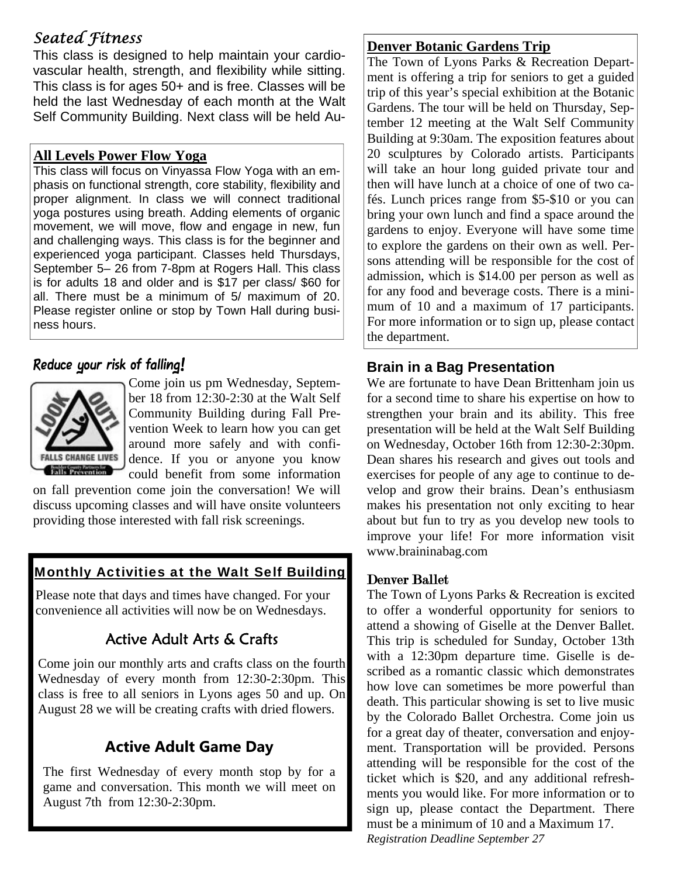# *Seated Fitness*

This class is designed to help maintain your cardiovascular health, strength, and flexibility while sitting. This class is for ages 50+ and is free. Classes will be held the last Wednesday of each month at the Walt Self Community Building. Next class will be held Au-

### **All Levels Power Flow Yoga**

This class will focus on Vinyassa Flow Yoga with an emphasis on functional strength, core stability, flexibility and proper alignment. In class we will connect traditional yoga postures using breath. Adding elements of organic movement, we will move, flow and engage in new, fun and challenging ways. This class is for the beginner and experienced yoga participant. Classes held Thursdays, September 5– 26 from 7-8pm at Rogers Hall. This class is for adults 18 and older and is \$17 per class/ \$60 for all. There must be a minimum of 5/ maximum of 20. Please register online or stop by Town Hall during business hours.

# Reduce your risk of falling!



Come join us pm Wednesday, September 18 from 12:30-2:30 at the Walt Self Community Building during Fall Prevention Week to learn how you can get around more safely and with confidence. If you or anyone you know could benefit from some information

on fall prevention come join the conversation! We will discuss upcoming classes and will have onsite volunteers providing those interested with fall risk screenings.

# Monthly Activities at the Walt Self Building

Please note that days and times have changed. For your convenience all activities will now be on Wednesdays.

# Active Adult Arts & Crafts

Come join our monthly arts and crafts class on the fourth Wednesday of every month from 12:30-2:30pm. This class is free to all seniors in Lyons ages 50 and up. On August 28 we will be creating crafts with dried flowers.

# **Active Adult Game Day**

The first Wednesday of every month stop by for a game and conversation. This month we will meet on August 7th from 12:30-2:30pm.

## **Denver Botanic Gardens Trip**

The Town of Lyons Parks & Recreation Department is offering a trip for seniors to get a guided trip of this year's special exhibition at the Botanic Gardens. The tour will be held on Thursday, September 12 meeting at the Walt Self Community Building at 9:30am. The exposition features about 20 sculptures by Colorado artists. Participants will take an hour long guided private tour and then will have lunch at a choice of one of two cafés. Lunch prices range from \$5-\$10 or you can bring your own lunch and find a space around the gardens to enjoy. Everyone will have some time to explore the gardens on their own as well. Persons attending will be responsible for the cost of admission, which is \$14.00 per person as well as for any food and beverage costs. There is a minimum of 10 and a maximum of 17 participants. For more information or to sign up, please contact the department.

# **Brain in a Bag Presentation**

We are fortunate to have Dean Brittenham join us for a second time to share his expertise on how to strengthen your brain and its ability. This free presentation will be held at the Walt Self Building on Wednesday, October 16th from 12:30-2:30pm. Dean shares his research and gives out tools and exercises for people of any age to continue to develop and grow their brains. Dean's enthusiasm makes his presentation not only exciting to hear about but fun to try as you develop new tools to improve your life! For more information visit www.braininabag.com

# Denver Ballet

The Town of Lyons Parks & Recreation is excited to offer a wonderful opportunity for seniors to attend a showing of Giselle at the Denver Ballet. This trip is scheduled for Sunday, October 13th with a 12:30pm departure time. Giselle is described as a romantic classic which demonstrates how love can sometimes be more powerful than death. This particular showing is set to live music by the Colorado Ballet Orchestra. Come join us for a great day of theater, conversation and enjoyment. Transportation will be provided. Persons attending will be responsible for the cost of the ticket which is \$20, and any additional refreshments you would like. For more information or to sign up, please contact the Department. There must be a minimum of 10 and a Maximum 17. *Registration Deadline September 27*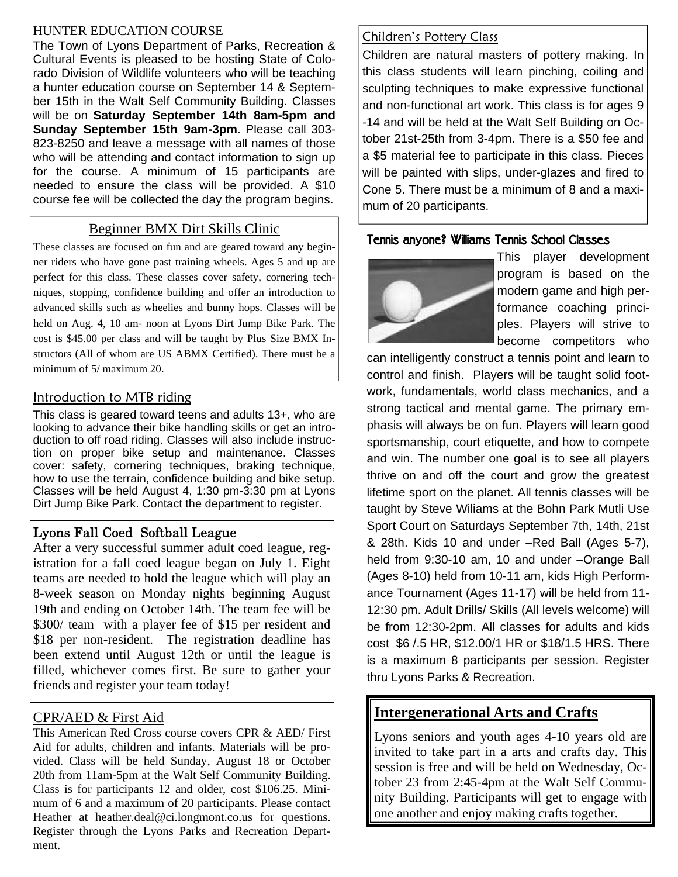#### HUNTER EDUCATION COURSE

The Town of Lyons Department of Parks, Recreation & Cultural Events is pleased to be hosting State of Colorado Division of Wildlife volunteers who will be teaching a hunter education course on September 14 & September 15th in the Walt Self Community Building. Classes will be on **Saturday September 14th 8am-5pm and Sunday September 15th 9am-3pm**. Please call 303- 823-8250 and leave a message with all names of those who will be attending and contact information to sign up for the course. A minimum of 15 participants are needed to ensure the class will be provided. A \$10 course fee will be collected the day the program begins.

## Beginner BMX Dirt Skills Clinic

These classes are focused on fun and are geared toward any beginner riders who have gone past training wheels. Ages 5 and up are perfect for this class. These classes cover safety, cornering techniques, stopping, confidence building and offer an introduction to advanced skills such as wheelies and bunny hops. Classes will be held on Aug. 4, 10 am- noon at Lyons Dirt Jump Bike Park. The cost is \$45.00 per class and will be taught by Plus Size BMX Instructors (All of whom are US ABMX Certified). There must be a minimum of 5/ maximum 20.

### Introduction to MTB riding

This class is geared toward teens and adults 13+, who are looking to advance their bike handling skills or get an introduction to off road riding. Classes will also include instruction on proper bike setup and maintenance. Classes cover: safety, cornering techniques, braking technique, how to use the terrain, confidence building and bike setup. Classes will be held August 4, 1:30 pm-3:30 pm at Lyons Dirt Jump Bike Park. Contact the department to register.

# Lyons Fall Coed Softball League

After a very successful summer adult coed league, registration for a fall coed league began on July 1. Eight teams are needed to hold the league which will play an 8-week season on Monday nights beginning August 19th and ending on October 14th. The team fee will be \$300/ team with a player fee of \$15 per resident and \$18 per non-resident. The registration deadline has been extend until August 12th or until the league is filled, whichever comes first. Be sure to gather your friends and register your team today!

### CPR/AED & First Aid

This American Red Cross course covers CPR & AED/ First Aid for adults, children and infants. Materials will be provided. Class will be held Sunday, August 18 or October 20th from 11am-5pm at the Walt Self Community Building. Class is for participants 12 and older, cost \$106.25. Minimum of 6 and a maximum of 20 participants. Please contact Heather at heather.deal@ci.longmont.co.us for questions. Register through the Lyons Parks and Recreation Department.

## Children's Pottery Class

Children are natural masters of pottery making. In this class students will learn pinching, coiling and sculpting techniques to make expressive functional and non-functional art work. This class is for ages 9 -14 and will be held at the Walt Self Building on October 21st-25th from 3-4pm. There is a \$50 fee and a \$5 material fee to participate in this class. Pieces will be painted with slips, under-glazes and fired to Cone 5. There must be a minimum of 8 and a maximum of 20 participants.

## Tennis anyone? Williams Tennis School Classes



This player development program is based on the modern game and high performance coaching principles. Players will strive to become competitors who

can intelligently construct a tennis point and learn to control and finish. Players will be taught solid footwork, fundamentals, world class mechanics, and a strong tactical and mental game. The primary emphasis will always be on fun. Players will learn good sportsmanship, court etiquette, and how to compete and win. The number one goal is to see all players thrive on and off the court and grow the greatest lifetime sport on the planet. All tennis classes will be taught by Steve Wiliams at the Bohn Park Mutli Use Sport Court on Saturdays September 7th, 14th, 21st & 28th. Kids 10 and under –Red Ball (Ages 5-7), held from 9:30-10 am, 10 and under –Orange Ball (Ages 8-10) held from 10-11 am, kids High Performance Tournament (Ages 11-17) will be held from 11- 12:30 pm. Adult Drills/ Skills (All levels welcome) will be from 12:30-2pm. All classes for adults and kids cost \$6 /.5 HR, \$12.00/1 HR or \$18/1.5 HRS. There is a maximum 8 participants per session. Register thru Lyons Parks & Recreation.

# **Intergenerational Arts and Crafts**

Lyons seniors and youth ages 4-10 years old are invited to take part in a arts and crafts day. This session is free and will be held on Wednesday, October 23 from 2:45-4pm at the Walt Self Community Building. Participants will get to engage with one another and enjoy making crafts together.